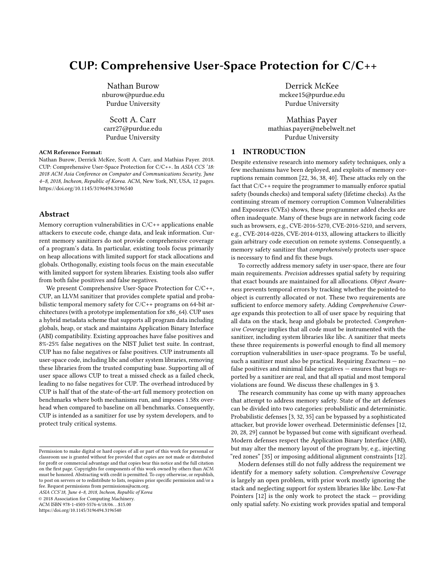# CUP: Comprehensive User-Space Protection for C/C++

Nathan Burow nburow@purdue.edu Purdue University

Scott A. Carr carr27@purdue.edu Purdue University

#### ACM Reference Format:

Nathan Burow, Derrick McKee, Scott A. Carr, and Mathias Payer. 2018. CUP: Comprehensive User-Space Protection for C/C++. In ASIA CCS '18: 2018 ACM Asia Conference on Computer and Communications Security, June 4–8, 2018, Incheon, Republic of Korea. ACM, New York, NY, USA, [12](#page-11-0) pages. <https://doi.org/10.1145/3196494.3196540>

#### Abstract

Memory corruption vulnerabilities in C/C++ applications enable attackers to execute code, change data, and leak information. Current memory sanitizers do not provide comprehensive coverage of a program's data. In particular, existing tools focus primarily on heap allocations with limited support for stack allocations and globals. Orthogonally, existing tools focus on the main executable with limited support for system libraries. Existing tools also suffer from both false positives and false negatives.

We present Comprehensive User-Space Protection for C/C++, CUP, an LLVM sanitizer that provides complete spatial and probabilistic temporal memory safety for C/C++ programs on 64-bit architectures (with a prototype implementation for x86\_64). CUP uses a hybrid metadata scheme that supports all program data including globals, heap, or stack and maintains Application Binary Interface (ABI) compatibility. Existing approaches have false positives and 8%-25% false negatives on the NIST Juliet test suite. In contrast, CUP has no false negatives or false positives. CUP instruments all user-space code, including libc and other system libraries, removing these libraries from the trusted computing base. Supporting all of user space allows CUP to treat a missed check as a failed check, leading to no false negatives for CUP. The overhead introduced by CUP is half that of the state-of-the-art full memory protection on benchmarks where both mechanisms run, and imposes 1.58x overhead when compared to baseline on all benchmarks. Consequently, CUP is intended as a sanitizer for use by system developers, and to protect truly critical systems.

ASIA CCS'18, June 4–8, 2018, Incheon, Republic of Korea

© 2018 Association for Computing Machinery.

ACM ISBN 978-1-4503-5576-6/18/06. . . \$15.00

<https://doi.org/10.1145/3196494.3196540>

Derrick McKee mckee15@purdue.edu Purdue University

Mathias Payer mathias.payer@nebelwelt.net Purdue University

## 1 INTRODUCTION

Despite extensive research into memory safety techniques, only a few mechanisms have been deployed, and exploits of memory corruptions remain common [\[22,](#page-11-1) [36,](#page-11-2) [38,](#page-11-3) [40\]](#page-11-4). These attacks rely on the fact that C/C++ require the programmer to manually enforce spatial safety (bounds checks) and temporal safety (lifetime checks). As the continuing stream of memory corruption Common Vulnerabilities and Exposures (CVEs) shows, these programmer added checks are often inadequate. Many of these bugs are in network facing code such as browsers, e.g., CVE-2016-5270, CVE-2016-5210, and servers, e.g., CVE-2014-0226, CVE-2014-0133, allowing attackers to illicitly gain arbitrary code execution on remote systems. Consequently, a memory safety sanitizer that comprehensively protects user-space is necessary to find and fix these bugs.

To correctly address memory safety in user-space, there are four main requirements. Precision addresses spatial safety by requiring that exact bounds are maintained for all allocations. Object Awareness prevents temporal errors by tracking whether the pointed-to object is currently allocated or not. These two requirements are sufficient to enforce memory safety. Adding Comprehensive Coverage expands this protection to all of user space by requiring that all data on the stack, heap and globals be protected. Comprehensive Coverage implies that all code must be instrumented with the sanitizer, including system libraries like libc. A sanitizer that meets these three requirements is powerful enough to find all memory corruption vulnerabilities in user-space programs. To be useful, such a sanitizer must also be practical. Requiring *Exactness* - no false positives and minimal false negatives — ensures that bugs reported by a sanitizer are real, and that all spatial and most temporal violations are found. We discuss these challenges in [§ 3.](#page-2-0)

The research community has come up with many approaches that attempt to address memory safety. State of the art defenses can be divided into two categories: probabilistic and deterministic. Probabilistic defenses [\[3,](#page-11-5) [32,](#page-11-6) [35\]](#page-11-7) can be bypassed by a sophisticated attacker, but provide lower overhead. Deterministic defenses [\[12,](#page-11-8) [20,](#page-11-9) [28,](#page-11-10) [29\]](#page-11-11) cannot be bypassed but come with significant overhead. Modern defenses respect the Application Binary Interface (ABI), but may alter the memory layout of the program by, e.g., injecting "red zones" [\[35\]](#page-11-7) or imposing additional alignment constraints [\[12\]](#page-11-8).

Modern defenses still do not fully address the requirement we identify for a memory safety solution. Comprehensive Coverage is largely an open problem, with prior work mostly ignoring the stack and neglecting support for system libraries like libc. Low-Fat Pointers  $[12]$  is the only work to protect the stack  $-$  providing only spatial safety. No existing work provides spatial and temporal

Permission to make digital or hard copies of all or part of this work for personal or classroom use is granted without fee provided that copies are not made or distributed for profit or commercial advantage and that copies bear this notice and the full citation on the first page. Copyrights for components of this work owned by others than ACM must be honored. Abstracting with credit is permitted. To copy otherwise, or republish, to post on servers or to redistribute to lists, requires prior specific permission and/or a fee. Request permissions from permissions@acm.org.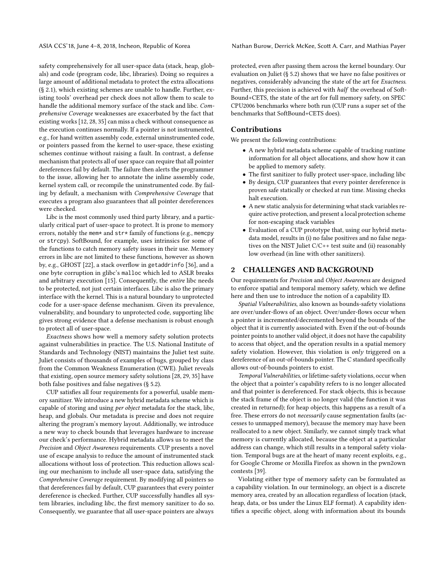ASIA CCS'18, June 4–8, 2018, Incheon, Republic of Korea Nathan Burow, Derrick McKee, Scott A. Carr, and Mathias Payer

safety comprehensively for all user-space data (stack, heap, globals) and code (program code, libc, libraries). Doing so requires a large amount of additional metadata to protect the extra allocations [\(§ 2.1\)](#page-2-1), which existing schemes are unable to handle. Further, existing tools' overhead per check does not allow them to scale to handle the additional memory surface of the stack and libc. Comprehensive Coverage weaknesses are exacerbated by the fact that existing works [\[12,](#page-11-8) [28,](#page-11-10) [35\]](#page-11-7) can miss a check without consequence as the execution continues normally. If a pointer is not instrumented, e.g., for hand written assembly code, external uninstrumented code, or pointers passed from the kernel to user-space, these existing schemes continue without raising a fault. In contrast, a defense mechanism that protects all of user space can require that all pointer dereferences fail by default. The failure then alerts the programmer to the issue, allowing her to annotate the inline assembly code, kernel system call, or recompile the uninstrumented code. By failing by default, a mechanism with Comprehensive Coverage that executes a program also guarantees that all pointer dereferences were checked.

Libc is the most commonly used third party library, and a particularly critical part of user-space to protect. It is prone to memory errors, notably the mem\* and  $str*$  family of functions (e.g., memcpy or strcpy). SoftBound, for example, uses intrinsics for some of the functions to catch memory safety issues in their use. Memory errors in libc are not limited to these functions, however as shown by, e.g., GHOST [\[22\]](#page-11-1), a stack overflow in getaddrinfo [\[36\]](#page-11-2), and a one byte corruption in glibc's malloc which led to ASLR breaks and arbitrary execution [\[15\]](#page-11-12). Consequently, the entire libc needs to be protected, not just certain interfaces. Libc is also the primary interface with the kernel. This is a natural boundary to unprotected code for a user-space defense mechanism. Given its prevalence, vulnerability, and boundary to unprotected code, supporting libc gives strong evidence that a defense mechanism is robust enough to protect all of user-space.

Exactness shows how well a memory safety solution protects against vulnerabilities in practice. The U.S. National Institute of Standards and Technology (NIST) maintains the Juliet test suite. Juliet consists of thousands of examples of bugs, grouped by class from the Common Weakness Enumeration (CWE). Juliet reveals that existing, open source memory safety solutions [\[28,](#page-11-10) [29,](#page-11-11) [35\]](#page-11-7) have both false positives and false negatives [\(§ 5.2\)](#page-8-0).

CUP satisfies all four requirements for a powerful, usable memory sanitizer. We introduce a new hybrid metadata scheme which is capable of storing and using per object metadata for the stack, libc, heap, and globals. Our metadata is precise and does not require altering the program's memory layout. Additionally, we introduce a new way to check bounds that leverages hardware to increase our check's performance. Hybrid metadata allows us to meet the Precision and Object Awareness requirements. CUP presents a novel use of escape analysis to reduce the amount of instrumented stack allocations without loss of protection. This reduction allows scaling our mechanism to include all user-space data, satisfying the Comprehensive Coverage requirement. By modifying all pointers so that dereferences fail by default, CUP guarantees that every pointer dereference is checked. Further, CUP successfully handles all system libraries, including libc, the first memory sanitizer to do so. Consequently, we guarantee that all user-space pointers are always

protected, even after passing them across the kernel boundary. Our evaluation on Juliet [\(§ 5.2\)](#page-8-0) shows that we have no false positives or negatives, considerably advancing the state of the art for Exactness. Further, this precision is achieved with half the overhead of Soft-Bound+CETS, the state of the art for full memory safety, on SPEC CPU2006 benchmarks where both run (CUP runs a super set of the benchmarks that SoftBound+CETS does).

## Contributions

We present the following contributions:

- A new hybrid metadata scheme capable of tracking runtime information for all object allocations, and show how it can be applied to memory safety.
- The first sanitizer to fully protect user-space, including libc
- By design, CUP guarantees that every pointer dereference is proven safe statically or checked at run time. Missing checks halt execution.
- A new static analysis for determining what stack variables require active protection, and present a local protection scheme for non-escaping stack variables
- Evaluation of a CUP prototype that, using our hybrid metadata model, results in (i) no false positives and no false negatives on the NIST Juliet C/C++ test suite and (ii) reasonably low overhead (in line with other sanitizers).

## <span id="page-1-0"></span>2 CHALLENGES AND BACKGROUND

Our requirements for Precision and Object Awareness are designed to enforce spatial and temporal memory safety, which we define here and then use to introduce the notion of a capability ID.

Spatial Vulnerabilities, also known as bounds-safety violations are over/under-flows of an object. Over/under-flows occur when a pointer is incremented/decremented beyond the bounds of the object that it is currently associated with. Even if the out-of-bounds pointer points to another valid object, it does not have the capability to access that object, and the operation results in a spatial memory safety violation. However, this violation is only triggered on a dereference of an out-of-bounds pointer. The C standard specifically allows out-of-bounds pointers to exist.

Temporal Vulnerabilities, or lifetime-safety violations, occur when the object that a pointer's capability refers to is no longer allocated and that pointer is dereferenced. For stack objects, this is because the stack frame of the object is no longer valid (the function it was created in returned); for heap objects, this happens as a result of a free. These errors do not necessarily cause segmentation faults (accesses to unmapped memory), because the memory may have been reallocated to a new object. Similarly, we cannot simply track what memory is currently allocated, because the object at a particular address can change, which still results in a temporal safety violation. Temporal bugs are at the heart of many recent exploits, e.g., for Google Chrome or Mozilla Firefox as shown in the pwn2own contests [\[39\]](#page-11-13).

Violating either type of memory safety can be formulated as a capability violation. In our terminology, an object is a discrete memory area, created by an allocation regardless of location (stack, heap, data, or bss under the Linux ELF format). A capability identifies a specific object, along with information about its bounds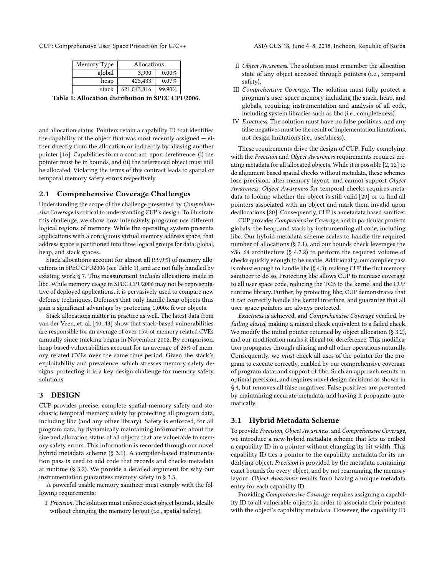<span id="page-2-2"></span>CUP: Comprehensive User-Space Protection for C/C++ ASIA CCS'18, June 4–8, 2018, Incheon, Republic of Korea

| Memory Type | Allocations |        |
|-------------|-------------|--------|
| global      | 3.900       | 0.00%  |
| heap        | 425.433     | 0.07%  |
| stack       | 621,043,816 | 99.90% |

Table 1: Allocation distribution in SPEC CPU2006.

and allocation status. Pointers retain a capability ID that identifies the capability of the object that was most recently assigned — either directly from the allocation or indirectly by aliasing another pointer [\[16\]](#page-11-14). Capabilities form a contract, upon dereference: (i) the pointer must be in bounds, and (ii) the referenced object must still be allocated. Violating the terms of this contract leads to spatial or temporal memory safety errors respectively.

## <span id="page-2-1"></span>2.1 Comprehensive Coverage Challenges

Understanding the scope of the challenge presented by Comprehensive Coverage is critical to understanding CUP's design. To illustrate this challenge, we show how intensively programs use different logical regions of memory. While the operating system presents applications with a contiguous virtual memory address space, that address space is partitioned into three logical groups for data: global, heap, and stack spaces.

Stack allocations account for almost all (99.9%) of memory allocations in SPEC CPU2006 (see [Table 1\)](#page-2-2), and are not fully handled by existing work [§ 7.](#page-10-0) This measurement includes allocations made in libc. While memory usage in SPEC CPU2006 may not be representative of deployed applications, it is pervasively used to compare new defense techniques. Defenses that only handle heap objects thus gain a significant advantage by protecting 1,000x fewer objects.

Stack allocations matter in practice as well. The latest data from van der Veen, et. al. [\[40,](#page-11-4) [43\]](#page-11-15) show that stack-based vulnerabilities are responsible for an average of over 15% of memory related CVEs annually since tracking began in November 2002. By comparison, heap-based vulnerabilities account for an average of 25% of memory related CVEs over the same time period. Given the stack's exploitability and prevalence, which stresses memory safety designs, protecting it is a key design challenge for memory safety solutions.

## <span id="page-2-0"></span>3 DESIGN

CUP provides precise, complete spatial memory safety and stochastic temporal memory safety by protecting all program data, including libc (and any other library). Safety is enforced, for all program data, by dynamically maintaining information about the size and allocation status of all objects that are vulnerable to memory safety errors. This information is recorded through our novel hybrid metadata scheme [\(§ 3.1\)](#page-2-3). A compiler-based instrumentation pass is used to add code that records and checks metadata at runtime [\(§ 3.2\)](#page-3-0). We provide a detailed argument for why our instrumentation guarantees memory safety in [§ 3.3.](#page-4-0)

A powerful usable memory sanitizer must comply with the following requirements:

I Precision. The solution must enforce exact object bounds, ideally without changing the memory layout (i.e., spatial safety).

- II Object Awareness. The solution must remember the allocation state of any object accessed through pointers (i.e., temporal safety).
- III Comprehensive Coverage. The solution must fully protect a program's user-space memory including the stack, heap, and globals, requiring instrumentation and analysis of all code, including system libraries such as libc (i.e., completeness).
- IV Exactness. The solution must have no false positives, and any false negatives must be the result of implementation limitations, not design limitations (i.e., usefulness).

These requirements drive the design of CUP. Fully complying with the Precision and Object Awareness requirements requires creating metadata for all allocated objects. While it is possible [\[2,](#page-11-16) [12\]](#page-11-8) to do alignment based spatial checks without metadata, these schemes lose precision, alter memory layout, and cannot support Object Awareness. Object Awareness for temporal checks requires metadata to lookup whether the object is still valid [\[29\]](#page-11-11) or to find all pointers associated with an object and mark them invalid upon deallocations [\[20\]](#page-11-9). Consequently, CUP is a metadata based sanitizer.

CUP provides Comprehensive Coverage, and in particular protects globals, the heap, and stack by instrumenting all code, including libc. Our hybrid metadata scheme scales to handle the required number of allocations [\(§ 2.1\)](#page-2-1), and our bounds check leverages the x86\_64 architecture [\(§ 4.2.2\)](#page-6-0) to perform the required volume of checks quickly enough to be usable. Additionally, our compiler pass is robust enough to handle libc [\(§ 4.3\)](#page-7-0), making CUP the first memory sanitizer to do so. Protecting libc allows CUP to increase coverage to all user space code, reducing the TCB to the kernel and the CUP runtime library. Further, by protecting libc, CUP demonstrates that it can correctly handle the kernel interface, and guarantee that all user-space pointers are always protected.

Exactness is achieved, and Comprehensive Coverage verified, by failing closed, making a missed check equivalent to a failed check. We modify the initial pointer returned by object allocation [\(§ 3.2\)](#page-3-0), and our modification marks it illegal for dereference. This modification propagates through aliasing and all other operations naturally. Consequently, we must check all uses of the pointer for the program to execute correctly, enabled by our comprehensive coverage of program data, and support of libc. Such an approach results in optimal precision, and requires novel design decisions as shown in [§ 4,](#page-4-1) but removes all false negatives. False positives are prevented by maintaining accurate metadata, and having it propagate automatically.

#### <span id="page-2-3"></span>3.1 Hybrid Metadata Scheme

To provide Precision, Object Awareness, and Comprehensive Coverage, we introduce a new hybrid metadata scheme that lets us embed a capability ID in a pointer without changing its bit width. This capability ID ties a pointer to the capability metadata for its underlying object. Precision is provided by the metadata containing exact bounds for every object, and by not rearranging the memory layout. Object Awareness results from having a unique metadata entry for each capability ID.

Providing Comprehensive Coverage requires assigning a capability ID to all vulnerable objects in order to associate their pointers with the object's capability metadata. However, the capability ID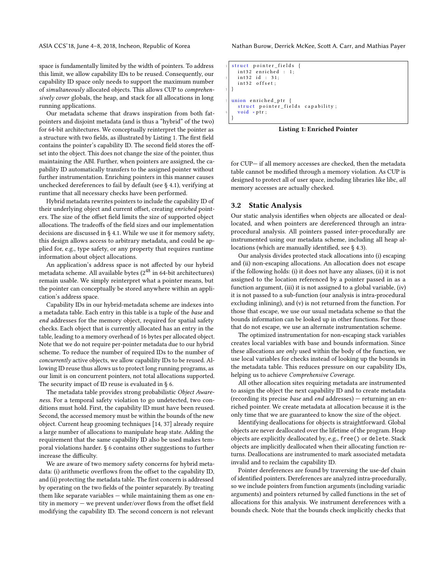space is fundamentally limited by the width of pointers. To address this limit, we allow capability IDs to be reused. Consequently, our capability ID space only needs to support the maximum number of simultaneously allocated objects. This allows CUP to comprehensively cover globals, the heap, and stack for all allocations in long running applications.

Our metadata scheme that draws inspiration from both fatpointers and disjoint metadata (and is thus a "hybrid" of the two) for 64-bit architectures. We conceptually reinterpret the pointer as a structure with two fields, as illustrated by [Listing 1.](#page-3-1) The first field contains the pointer's capability ID. The second field stores the offset into the object. This does not change the size of the pointer, thus maintaining the ABI. Further, when pointers are assigned, the capability ID automatically transfers to the assigned pointer without further instrumentation. Enriching pointers in this manner causes unchecked dereferences to fail by default (see [§ 4.1\)](#page-4-2), verifying at runtime that all necessary checks have been performed.

Hybrid metadata rewrites pointers to include the capability ID of their underlying object and current offset, creating enriched pointers. The size of the offset field limits the size of supported object allocations. The tradeoffs of the field sizes and our implementation decisions are discussed in [§ 4.1.](#page-4-2) While we use it for memory safety, this design allows access to arbitrary metadata, and could be applied for, e.g., type safety, or any property that requires runtime information about object allocations.

An application's address space is not affected by our hybrid metadata scheme. All available bytes ( $2^{48}$  in 64-bit architectures) remain usable. We simply reinterpret what a pointer means, but the pointer can conceptually be stored anywhere within an application's address space.

Capability IDs in our hybrid-metadata scheme are indexes into a metadata table. Each entry in this table is a tuple of the base and end addresses for the memory object, required for spatial safety checks. Each object that is currently allocated has an entry in the table, leading to a memory overhead of 16 bytes per allocated object. Note that we do not require per-pointer metadata due to our hybrid scheme. To reduce the number of required IDs to the number of concurrently active objects, we allow capability IDs to be reused. Allowing ID reuse thus allows us to protect long running programs, as our limit is on concurrent pointers, not total allocations supported. The security impact of ID reuse is evaluated in [§ 6.](#page-9-0)

The metadata table provides strong probabilistic Object Awareness. For a temporal safety violation to go undetected, two conditions must hold. First, the capability ID must have been reused. Second, the accessed memory must be within the bounds of the new object. Current heap grooming techniques [\[14,](#page-11-17) [37\]](#page-11-18) already require a large number of allocations to manipulate heap state. Adding the requirement that the same capability ID also be used makes temporal violations harder. [§ 6](#page-9-0) contains other suggestions to further increase the difficulty.

We are aware of two memory safety concerns for hybrid metadata: (i) arithmetic overflows from the offset to the capability ID, and (ii) protecting the metadata table. The first concern is addressed by operating on the two fields of the pointer separately. By treating them like separate variables — while maintaining them as one entity in memory — we prevent under/over flows from the offset field modifying the capability ID. The second concern is not relevant

ASIA CCS'18, June 4–8, 2018, Incheon, Republic of Korea Nathan Burow, Derrick McKee, Scott A. Carr, and Mathias Payer

```
\begin{array}{|l|} \hline \text{struct pointer}_{id} & \{ \text{init32 enriched}: \ 1, \end{array}int 32 id : 31:
     int32 offset;
5 }
  union enriched_ptr {
     struct pointer_fields capability;
     void ∗ptr;
   }
```


for CUP— if all memory accesses are checked, then the metadata table cannot be modified through a memory violation. As CUP is designed to protect all of user space, including libraries like libc, all memory accesses are actually checked.

#### <span id="page-3-0"></span>3.2 Static Analysis

Our static analysis identifies when objects are allocated or deallocated, and when pointers are dereferenced through an intraprocedural analysis. All pointers passed inter-procedurally are instrumented using our metadata scheme, including all heap allocations (which are manually identified, see [§ 4.3\)](#page-7-0).

Our analysis divides protected stack allocations into (i) escaping and (ii) non-escaping allocations. An allocation does not escape if the following holds: (i) it does not have any aliases, (ii) it is not assigned to the location referenced by a pointer passed in as a function argument, (iii) it is not assigned to a global variable, (iv) it is not passed to a sub-function (our analysis is intra-procedural excluding inlining), and (v) is not returned from the function. For those that escape, we use our usual metadata scheme so that the bounds information can be looked up in other functions. For those that do not escape, we use an alternate instrumentation scheme.

The optimized instrumentation for non-escaping stack variables creates local variables with base and bounds information. Since these allocations are only used within the body of the function, we use local variables for checks instead of looking up the bounds in the metadata table. This reduces pressure on our capability IDs, helping us to achieve Comprehensive Coverage.

All other allocation sites requiring metadata are instrumented to assign the object the next capability ID and to create metadata (recording its precise base and end addresses) — returning an enriched pointer. We create metadata at allocation because it is the only time that we are guaranteed to know the size of the object.

Identifying deallocations for objects is straightforward. Global objects are never deallocated over the lifetime of the program. Heap objects are explicitly deallocated by, e.g., free() or delete. Stack objects are implicitly deallocated when their allocating function returns. Deallocations are instrumented to mark associated metadata invalid and to reclaim the capability ID.

Pointer dereferences are found by traversing the use-def chain of identified pointers. Dereferences are analyzed intra-procedurally, so we include pointers from function arguments (including variadic arguments) and pointers returned by called functions in the set of allocations for this analysis. We instrument dereferences with a bounds check. Note that the bounds check implicitly checks that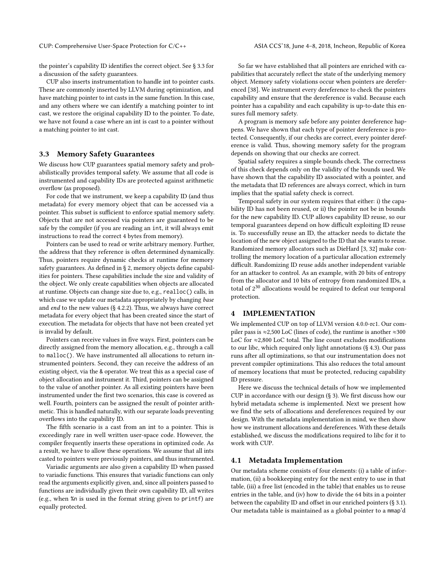CUP: Comprehensive User-Space Protection for C/C++ ASIA CCS'18, June 4–8, 2018, Incheon, Republic of Korea

the pointer's capability ID identifies the correct object. See [§ 3.3](#page-4-0) for a discussion of the safety guarantees.

CUP also inserts instrumentation to handle int to pointer casts. These are commonly inserted by LLVM during optimization, and have matching pointer to int casts in the same function. In this case, and any others where we can identify a matching pointer to int cast, we restore the original capability ID to the pointer. To date, we have not found a case where an int is cast to a pointer without a matching pointer to int cast.

#### <span id="page-4-0"></span>3.3 Memory Safety Guarantees

We discuss how CUP guarantees spatial memory safety and probabilistically provides temporal safety. We assume that all code is instrumented and capability IDs are protected against arithmetic overflow (as proposed).

For code that we instrument, we keep a capability ID (and thus metadata) for every memory object that can be accessed via a pointer. This subset is sufficient to enforce spatial memory safety. Objects that are not accessed via pointers are guaranteed to be safe by the compiler (if you are reading an int, it will always emit instructions to read the correct 4 bytes from memory).

Pointers can be used to read or write arbitrary memory. Further, the address that they reference is often determined dynamically. Thus, pointers require dynamic checks at runtime for memory safety guarantees. As defined in [§ 2,](#page-1-0) memory objects define capabilities for pointers. These capabilities include the size and validity of the object. We only create capabilities when objects are allocated at runtime. Objects can change size due to, e.g., realloc() calls, in which case we update our metadata appropriately by changing base and end to the new values [\(§ 4.2.2\)](#page-6-1). Thus, we always have correct metadata for every object that has been created since the start of execution. The metadata for objects that have not been created yet is invalid by default.

Pointers can receive values in five ways. First, pointers can be directly assigned from the memory allocation, e.g., through a call to malloc(). We have instrumented all allocations to return instrumented pointers. Second, they can receive the address of an existing object, via the & operator. We treat this as a special case of object allocation and instrument it. Third, pointers can be assigned to the value of another pointer. As all existing pointers have been instrumented under the first two scenarios, this case is covered as well. Fourth, pointers can be assigned the result of pointer arithmetic. This is handled naturally, with our separate loads preventing overflows into the capability ID.

The fifth scenario is a cast from an int to a pointer. This is exceedingly rare in well written user-space code. However, the compiler frequently inserts these operations in optimized code. As a result, we have to allow these operations. We assume that all ints casted to pointers were previously pointers, and thus instrumented.

Variadic arguments are also given a capability ID when passed to variadic functions. This ensures that variadic functions can only read the arguments explicitly given, and, since all pointers passed to functions are individually given their own capability ID, all writes (e.g., when %n is used in the format string given to printf) are equally protected.

So far we have established that all pointers are enriched with capabilities that accurately reflect the state of the underlying memory object. Memory safety violations occur when pointers are dereferenced [\[38\]](#page-11-3). We instrument every dereference to check the pointers capability and ensure that the dereference is valid. Because each pointer has a capability and each capability is up-to-date this ensures full memory safety.

A program is memory safe before any pointer dereference happens. We have shown that each type of pointer dereference is protected. Consequently, if our checks are correct, every pointer dereference is valid. Thus, showing memory safety for the program depends on showing that our checks are correct.

Spatial safety requires a simple bounds check. The correctness of this check depends only on the validity of the bounds used. We have shown that the capability ID associated with a pointer, and the metadata that ID references are always correct, which in turn implies that the spatial safety check is correct.

Temporal safety in our system requires that either: i) the capability ID has not been reused, or ii) the pointer not be in bounds for the new capability ID. CUP allows capability ID reuse, so our temporal guarantees depend on how difficult exploiting ID reuse is. To successfully reuse an ID, the attacker needs to dictate the location of the new object assigned to the ID that she wants to reuse. Randomized memory allocators such as DieHard [\[3,](#page-11-5) [32\]](#page-11-6) make controlling the memory location of a particular allocation extremely difficult. Randomizing ID reuse adds another independent variable for an attacker to control. As an example, with 20 bits of entropy from the allocator and 10 bits of entropy from randomized IDs, a total of  $2^{30}$  allocations would be required to defeat our temporal protection.

## <span id="page-4-1"></span>4 IMPLEMENTATION

We implemented CUP on top of LLVM version 4.0.0-rc1. Our compiler pass is ≈2,500 LoC (lines of code), the runtime is another ≈300 LoC for ≈2,800 LoC total. The line count excludes modifications to our libc, which required only light annotations [\(§ 4.3\)](#page-7-0). Our pass runs after all optimizations, so that our instrumentation does not prevent compiler optimizations. This also reduces the total amount of memory locations that must be protected, reducing capability ID pressure.

Here we discuss the technical details of how we implemented CUP in accordance with our design [\(§ 3\)](#page-2-0). We first discuss how our hybrid metadata scheme is implemented. Next we present how we find the sets of allocations and dereferences required by our design. With the metadata implementation in mind, we then show how we instrument allocations and dereferences. With these details established, we discuss the modifications required to libc for it to work with CUP.

### <span id="page-4-2"></span>4.1 Metadata Implementation

Our metadata scheme consists of four elements: (i) a table of information, (ii) a bookkeeping entry for the next entry to use in that table, (iii) a free list (encoded in the table) that enables us to reuse entries in the table, and (iv) how to divide the 64 bits in a pointer between the capability ID and offset in our enriched pointers [\(§ 3.1\)](#page-2-3). Our metadata table is maintained as a global pointer to a mmap'd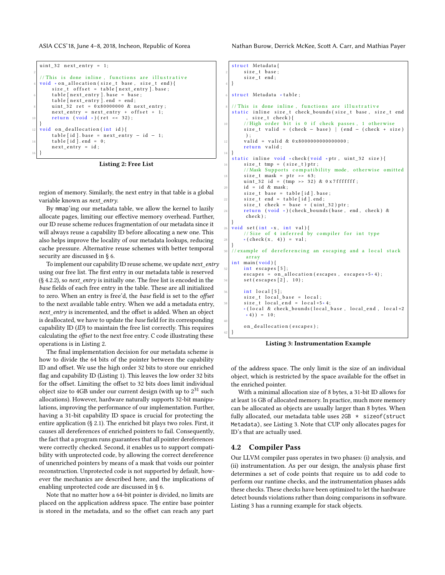```
uint 32 next entry = 1;
 2
   // This is done inline, functions are illustrative
   void * on\_allocation(\text{size\_t } base, \text{ size\_t } end) \{size_t offset = table [next_entry]. base;
         table[next].base = base;
         table[next_entropy].end = end;uint \ 32 \ ret = 0 x 8 0 0 0 0 0 0 0 \ & \text{next entry};next\_entry = next\_entry + offset + 1;10 return (void \star) (ret << 32);
   }
12 void on _deallocation (int id) {
\begin{array}{rcl} \text{table} & \text{table} & \text{if} \text{} \text{table} & \text{if} \text{table} \\ & \text{table} & \text{right} & \text{end} & = \text{0}; \end{array}next\_entry = id;16 }
```
Listing 2: Free List

region of memory. Similarly, the next entry in that table is a global variable known as next\_entry.

By mmap'ing our metadata table, we allow the kernel to lazily allocate pages, limiting our effective memory overhead. Further, our ID reuse scheme reduces fragmentation of our metadata since it will always reuse a capability ID before allocating a new one. This also helps improve the locality of our metadata lookups, reducing cache pressure. Alternative reuse schemes with better temporal security are discussed in [§ 6.](#page-9-0)

To implement our capability ID reuse scheme, we update next\_entry using our free list. The first entry in our metadata table is reserved  $(S$  4.2.2), so next\_entry is initially one. The free list is encoded in the base fields of each free entry in the table. These are all initialized to zero. When an entry is free'd, the base field is set to the offset to the next available table entry. When we add a metadata entry, next\_entry is incremented, and the offset is added. When an object is deallocated, we have to update the base field for its corresponding capability ID (ID) to maintain the free list correctly. This requires calculating the offset to the next free entry. C code illustrating these operations is in [Listing 2.](#page-5-0)

The final implementation decision for our metadata scheme is how to divide the 64 bits of the pointer between the capability ID and offset. We use the high order 32 bits to store our enriched flag and capability ID [\(Listing 1\)](#page-3-1). This leaves the low order 32 bits for the offset. Limiting the offset to 32 bits does limit individual object size to 4GB under our current design (with up to  $2^{31}$  such allocations). However, hardware naturally supports 32-bit manipulations, improving the performance of our implementation. Further, having a 31-bit capability ID space is crucial for protecting the entire application [\(§ 2.1\)](#page-2-1). The enriched bit plays two roles. First, it causes all dereferences of enriched pointers to fail. Consequently, the fact that a program runs guarantees that all pointer dereferences were correctly checked. Second, it enables us to support compatibility with unprotected code, by allowing the correct dereference of unenriched pointers by means of a mask that voids our pointer reconstruction. Unprotected code is not supported by default, however the mechanics are described here, and the implications of enabling unprotected code are discussed in [§ 6.](#page-9-0)

Note that no matter how a 64-bit pointer is divided, no limits are placed on the application address space. The entire base pointer is stored in the metadata, and so the offset can reach any part

ASIA CCS'18, June 4–8, 2018, Incheon, Republic of Korea Nathan Burow, Derrick McKee, Scott A. Carr, and Mathias Payer

```
struct Metadata{
       size t base:
       size t end;
4 }
  struct Metadata ∗table ·
  1/ This is done in line. functions are illustrative
  static inline size_t check_bounds(size_t base, size_t end
          size_t check) {
       1/ High order bit is 0 if check passes, 1 otherwise
       size_t valid = (check - base) | (end - (check + size)
       ) ;
       valid = valid & 0 x 8000000000000000;return valid;
  \mathcal{E}static inline void * check (void * ptr, uint_32 size) {
       size_t tmp = (size_t) ptr;
       // Mask Supports compatibility mode, otherwise omitted
       size_t mask = ptr >> 63;
       uint_32 id = (tmp >> 32) & 0x7fffffff;
       id = id & \text{mask};size_t base = table [id ]. base;
       size_t end = table [id ]. end;
       size_t check = base + (uint_32)ptr;
       return (void *) (check_bounds) (base, end, check) &
       check);
_{26}\bigg|\,\begin{array}{c} 3 \ y \text{oid set(int *x, int val)}\end{array}\bigg\{// Size of 4 inferred by compiler for int type*(check(x, 4)) = val;}
  // example of dereferencing an escaping and a local stack
       a r r a y
  int main (void) {
       int escapes [5];
       \text{escapes} = \text{on} allocation (escapes, escapes+5*4);
       s et ( e s c a p e s [2], 10);
       int local [5];
       size t local base = local;
       size_t local end = local +5 * 4;
       ∗ (local & check_bounds (local_base, local_end, local+2
       \star 4) ) = 10;
40
       on deallocation ( escapes ) :
42 }
```
Listing 3: Instrumentation Example

of the address space. The only limit is the size of an individual object, which is restricted by the space available for the offset in the enriched pointer.

With a minimal allocation size of 8 bytes, a 31-bit ID allows for at least 16 GB of allocated memory. In practice, much more memory can be allocated as objects are usually larger than 8 bytes. When fully allocated, our metadata table uses 2GB \* sizeof(struct Metadata), see [Listing 3.](#page-5-1) Note that CUP only allocates pages for ID's that are actually used.

## 4.2 Compiler Pass

Our LLVM compiler pass operates in two phases: (i) analysis, and (ii) instrumentation. As per our design, the analysis phase first determines a set of code points that require us to add code to perform our runtime checks, and the instrumentation phases adds these checks. These checks have been optimized to let the hardware detect bounds violations rather than doing comparisons in software. [Listing 3](#page-5-1) has a running example for stack objects.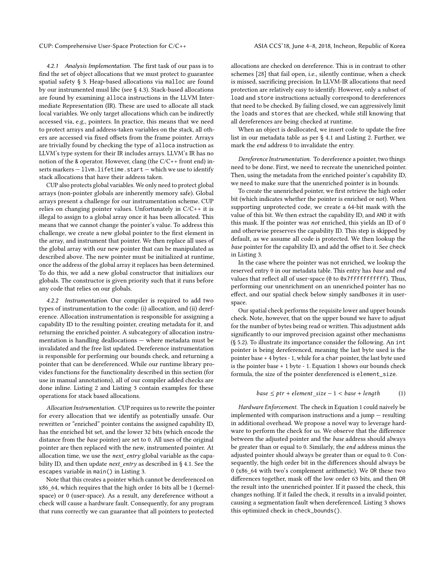CUP: Comprehensive User-Space Protection for C/C++ ASIA CCS'18, June 4–8, 2018, Incheon, Republic of Korea

4.2.1 Analysis Implementation. The first task of our pass is to find the set of object allocations that we must protect to guarantee spatial safety [§ 3.](#page-2-0) Heap-based allocations via malloc are found by our instrumented musl libc (see [§ 4.3\)](#page-7-0). Stack-based allocations are found by examining alloca instructions in the LLVM Intermediate Representation (IR). These are used to allocate all stack local variables. We only target allocations which can be indirectly accessed via, e.g., pointers. In practice, this means that we need to protect arrays and address-taken variables on the stack, all others are accessed via fixed offsets from the frame pointer. Arrays are trivially found by checking the type of alloca instruction as LLVM's type system for their IR includes arrays. LLVM's IR has no notion of the & operator. However, clang (the  $C/C++$  front end) inserts markers  $-11$  vm. lifetime. start  $-$  which we use to identify stack allocations that have their address taken.

CUP also protects global variables. We only need to protect global arrays (non-pointer globals are inherently memory safe). Global arrays present a challenge for our instrumentation scheme. CUP relies on changing pointer values. Unfortunately in C/C++ it is illegal to assign to a global array once it has been allocated. This means that we cannot change the pointer's value. To address this challenge, we create a new global pointer to the first element in the array, and instrument that pointer. We then replace all uses of the global array with our new pointer that can be manipulated as described above. The new pointer must be initialized at runtime, once the address of the global array it replaces has been determined. To do this, we add a new global constructor that initializes our globals. The constructor is given priority such that it runs before any code that relies on our globals.

<span id="page-6-1"></span>4.2.2 Instrumentation. Our compiler is required to add two types of instrumentation to the code: (i) allocation, and (ii) dereference. Allocation instrumentation is responsible for assigning a capability ID to the resulting pointer, creating metadata for it, and returning the enriched pointer. A subcategory of allocation instrumentation is handling deallocations — where metadata must be invalidated and the free list updated. Dereference instrumentation is responsible for performing our bounds check, and returning a pointer that can be dereferenced. While our runtime library provides functions for the functionality described in this section (for use in manual annotations), all of our compiler added checks are done inline. [Listing 2](#page-5-0) and [Listing 3](#page-5-1) contain examples for these operations for stack based allocations.

Allocation Instrumentation. CUP requires us to rewrite the pointer for every allocation that we identify as potentially unsafe. Our rewritten or "enriched" pointer contains the assigned capability ID, has the enriched bit set, and the lower 32 bits (which encode the distance from the base pointer) are set to 0. All uses of the original pointer are then replaced with the new, instrumented pointer. At allocation time, we use the next\_entry global variable as the capability ID, and then update next\_entry as described in [§ 4.1.](#page-4-2) See the escapes variable in main() in [Listing 3.](#page-5-1)

Note that this creates a pointer which cannot be dereferenced on x86\_64, which requires that the high order 16 bits all be 1 (kernelspace) or 0 (user-space). As a result, any dereference without a check will cause a hardware fault. Consequently, for any program that runs correctly we can guarantee that all pointers to protected

allocations are checked on dereference. This is in contrast to other schemes [\[28\]](#page-11-10) that fail open, i.e., silently continue, when a check is missed, sacrificing precision. In LLVM-IR allocations that need protection are relatively easy to identify. However, only a subset of load and store instructions actually correspond to dereferences that need to be checked. By failing closed, we can aggressively limit the loads and stores that are checked, while still knowing that all dereferences are being checked at runtime.

When an object is deallocated, we insert code to update the free list in our metadata table as per [§ 4.1](#page-4-2) and [Listing 2.](#page-5-0) Further, we mark the end address 0 to invalidate the entry.

<span id="page-6-2"></span>Dereference Instrumentation. To dereference a pointer, two things need to be done. First, we need to recreate the unenriched pointer. Then, using the metadata from the enriched pointer's capability ID, we need to make sure that the unenriched pointer is in bounds.

To create the unenriched pointer, we first retrieve the high order bit (which indicates whether the pointer is enriched or not). When supporting unprotected code, we create a 64-bit mask with the value of this bit. We then extract the capability ID, and AND it with this mask. If the pointer was not enriched, this yields an ID of 0 and otherwise preserves the capability ID. This step is skipped by default, as we assume all code is protected. We then lookup the base pointer for the capability ID, and add the offset to it. See check in [Listing 3.](#page-5-1)

In the case where the pointer was not enriched, we lookup the reserved entry 0 in our metadata table. This entry has base and end values that reflect all of user-space (0 to 0x7ffffffffffff,). Thus, performing our unenrichment on an unenriched pointer has no effect, and our spatial check below simply sandboxes it in userspace.

Our spatial check performs the requisite lower and upper bounds check. Note, however, that on the upper bound we have to adjust for the number of bytes being read or written. This adjustment adds significantly to our improved precision against other mechanisms [\(§ 5.2\)](#page-8-0). To illustrate its importance consider the following. An int pointer is being dereferenced, meaning the last byte used is the pointer base + 4 bytes - 1, while for a char pointer, the last byte used is the pointer base + 1 byte - 1. [Equation 1](#page-6-3) shows our bounds check formula, the size of the pointer dereferenced is element\_size.

#### <span id="page-6-3"></span> $base \leq ptr + element\_size - 1 < base + length$  (1)

<span id="page-6-0"></span>Hardware Enforcement. The check in [Equation 1](#page-6-3) could naively be implemented with comparison instructions and a jump — resulting in additional overhead. We propose a novel way to leverage hardware to perform the check for us. We observe that the difference between the adjusted pointer and the base address should always be greater than or equal to 0. Similarly, the end address minus the adjusted pointer should always be greater than or equal to 0. Consequently, the high order bit in the differences should always be 0 (x86\_64 with two's complement arithmetic). We OR these two differences together, mask off the low order 63 bits, and then OR the result into the unenriched pointer. If it passed the check, this changes nothing. If it failed the check, it results in a invalid pointer, causing a segmentation fault when dereferenced. [Listing 3](#page-5-1) shows this optimized check in check\_bounds().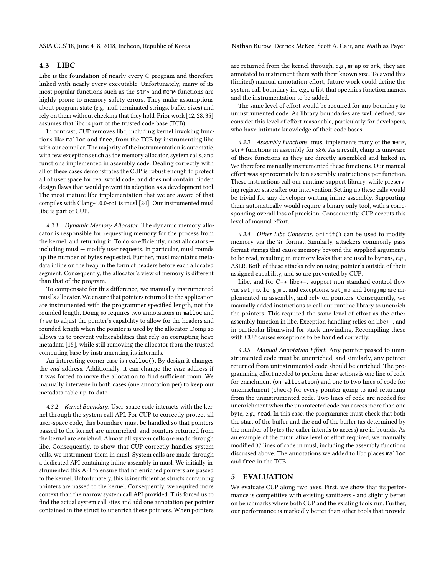ASIA CCS'18, June 4–8, 2018, Incheon, Republic of Korea Nathan Burow, Derrick McKee, Scott A. Carr, and Mathias Payer

## <span id="page-7-0"></span>4.3 LIBC

Libc is the foundation of nearly every C program and therefore linked with nearly every executable. Unfortunately, many of its most popular functions such as the str\* and mem\* functions are highly prone to memory safety errors. They make assumptions about program state (e.g., null terminated strings, buffer sizes) and rely on them without checking that they hold. Prior work [\[12,](#page-11-8) [28,](#page-11-10) [35\]](#page-11-7) assumes that libc is part of the trusted code base (TCB).

In contrast, CUP removes libc, including kernel invoking functions like malloc and free, from the TCB by instrumenting libc with our compiler. The majority of the instrumentation is automatic, with few exceptions such as the memory allocator, system calls, and functions implemented in assembly code. Dealing correctly with all of these cases demonstrates the CUP is robust enough to protect all of user space for real world code, and does not contain hidden design flaws that would prevent its adoption as a development tool. The most mature libc implementation that we are aware of that compiles with Clang-4.0.0-rc1 is musl [\[24\]](#page-11-19). Our instrumented musl libc is part of CUP.

4.3.1 Dynamic Memory Allocator. The dynamic memory allocator is responsible for requesting memory for the process from the kernel, and returning it. To do so efficiently, most allocators including musl — modify user requests. In particular, musl rounds up the number of bytes requested. Further, musl maintains metadata inline on the heap in the form of headers before each allocated segment. Consequently, the allocator's view of memory is different than that of the program.

To compensate for this difference, we manually instrumented musl's allocator. We ensure that pointers returned to the application are instrumented with the programmer specified length, not the rounded length. Doing so requires two annotations in malloc and free to adjust the pointer's capability to allow for the headers and rounded length when the pointer is used by the allocator. Doing so allows us to prevent vulnerabilities that rely on corrupting heap metadata [\[15\]](#page-11-12), while still removing the allocator from the trusted computing base by instrumenting its internals.

An interesting corner case is realloc(). By design it changes the end address. Additionally, it can change the base address if it was forced to move the allocation to find sufficient room. We manually intervene in both cases (one annotation per) to keep our metadata table up-to-date.

4.3.2 Kernel Boundary. User-space code interacts with the kernel through the system call API. For CUP to correctly protect all user-space code, this boundary must be handled so that pointers passed to the kernel are unenriched, and pointers returned from the kernel are enriched. Almost all system calls are made through libc. Consequently, to show that CUP correctly handles system calls, we instrument them in musl. System calls are made through a dedicated API containing inline assembly in musl. We initially instrumented this API to ensure that no enriched pointers are passed to the kernel. Unfortunately, this is insufficient as structs containing pointers are passed to the kernel. Consequently, we required more context than the narrow system call API provided. This forced us to find the actual system call sites and add one annotation per pointer contained in the struct to unenrich these pointers. When pointers

are returned from the kernel through, e.g., mmap or brk, they are annotated to instrument them with their known size. To avoid this (limited) manual annotation effort, future work could define the system call boundary in, e.g., a list that specifies function names, and the instrumentation to be added.

The same level of effort would be required for any boundary to uninstrumented code. As library boundaries are well defined, we consider this level of effort reasonable, particularly for developers, who have intimate knowledge of their code bases.

4.3.3 Assembly Functions. musl implements many of the mem\*, str\* functions in assembly for x86. As a result, clang is unaware of these functions as they are directly assembled and linked in. We therefore manually instrumented these functions. Our manual effort was approximately ten assembly instructions per function. These instructions call our runtime support library, while preserving register state after our intervention. Setting up these calls would be trivial for any developer writing inline assembly. Supporting them automatically would require a binary only tool, with a corresponding overall loss of precision. Consequently, CUP accepts this level of manual effort.

4.3.4 Other Libc Concerns. printf() can be used to modify memory via the %n format. Similarly, attackers commonly pass format strings that cause memory beyond the supplied arguments to be read, resulting in memory leaks that are used to bypass, e.g., ASLR. Both of these attacks rely on using pointer's outside of their assigned capability, and so are prevented by CUP.

Libc, and for C++ libc++, support non standard control flow via setjmp, longjmp, and exceptions. setjmp and longjmp are implemented in assembly, and rely on pointers. Consequently, we manually added instructions to call our runtime library to unenrich the pointers. This required the same level of effort as the other assembly function in libc. Exception handling relies on libc++, and in particular libunwind for stack unwinding. Recompiling these with CUP causes exceptions to be handled correctly.

4.3.5 Manual Annotation Effort. Any pointer passed to uninstrumented code must be unenriched, and similarly, any pointer returned from uninstrumented code should be enriched. The programming effort needed to perform these actions is one line of code for enrichment (on\_allocation) and one to two lines of code for unenrichment (check) for every pointer going to and returning from the uninstrumented code. Two lines of code are needed for unenrichment when the unprotected code can access more than one byte, e.g., read. In this case, the programmer must check that both the start of the buffer and the end of the buffer (as determined by the number of bytes the caller intends to access) are in bounds. As an example of the cumulative level of effort required, we manually modified 37 lines of code in musl, including the assembly functions discussed above. The annotations we added to libc places malloc and free in the TCB.

## 5 EVALUATION

We evaluate CUP along two axes. First, we show that its performance is competitive with existing sanitizers - and slightly better on benchmarks where both CUP and the existing tools run. Further, our performance is markedly better than other tools that provide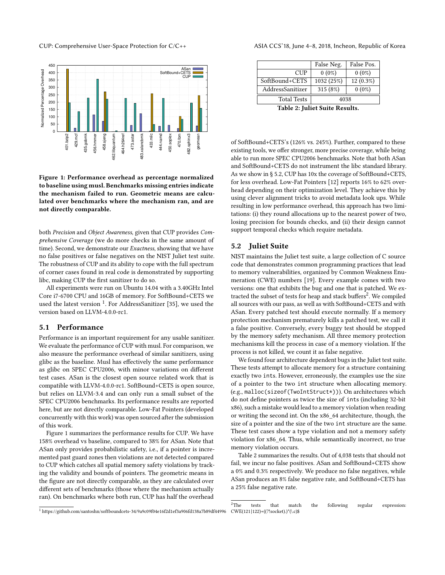<span id="page-8-2"></span>

Figure 1: Performance overhead as percentage normalized to baseline using musl. Benchmarks missing entries indicate the mechanism failed to run. Geometric means are calculated over benchmarks where the mechanism ran, and are not directly comparable.

both Precision and Object Awareness, given that CUP provides Comprehensive Coverage (we do more checks in the same amount of time). Second, we demonstrate our Exactness, showing that we have no false positives or false negatives on the NIST Juliet test suite. The robustness of CUP and its ability to cope with the full spectrum of corner cases found in real code is demonstrated by supporting libc, making CUP the first sanitizer to do so.

All experiments were run on Ubuntu 14.04 with a 3.40GHz Intel Core i7-6700 CPU and 16GB of memory. For SoftBound+CETS we used the latest version  $^1$  $^1$ . For AddressSanitizer [\[35\]](#page-11-7), we used the version based on LLVM-4.0.0-rc1.

## 5.1 Performance

Performance is an important requirement for any usable sanitizer. We evaluate the performance of CUP with musl. For comparison, we also measure the performance overhead of similar sanitizers, using glibc as the baseline. Musl has effectively the same performance as glibc on SPEC CPU2006, with minor variations on different test cases. ASan is the closest open source related work that is compatible with LLVM-4.0.0-rc1. SoftBound+CETS is open source, but relies on LLVM-3.4 and can only run a small subset of the SPEC CPU2006 benchmarks. Its performance results are reported here, but are not directly comparable. Low-Fat Pointers (developed concurrently with this work) was open sourced after the submission of this work.

[Figure 1](#page-8-2) summarizes the performance results for CUP. We have 158% overhead vs baseline, compared to 38% for ASan. Note that ASan only provides probabilistic safety, i.e., if a pointer is incremented past guard zones then violations are not detected compared to CUP which catches all spatial memory safety violations by tracking the validity and bounds of pointers. The geometric means in the figure are not directly comparable, as they are calculated over different sets of benchmarks (those where the mechanism actually ran). On benchmarks where both run, CUP has half the overhead

CUP: Comprehensive User-Space Protection for C/C++ ASIA CCS'18, June 4–8, 2018, Incheon, Republic of Korea

<span id="page-8-4"></span>

|                    | False Neg. | False Pos. |
|--------------------|------------|------------|
| CUP.               | $0(0\%)$   | $0(0\%)$   |
| SoftBound+CETS     | 1032 (25%) | 12 (0.3%)  |
| AddressSanitizer   | 315 (8%)   | $0(0\%)$   |
| <b>Total Tests</b> | 4038       |            |

Table 2: Juliet Suite Results.

of SoftBound+CETS's (126% vs. 245%). Further, compared to these existing tools, we offer stronger, more precise coverage, while being able to run more SPEC CPU2006 benchmarks. Note that both ASan and SoftBound+CETS do not instrument the libc standard library. As we show in [§ 5.2,](#page-8-0) CUP has 10x the coverage of SoftBound+CETS, for less overhead. Low-Fat Pointers [\[12\]](#page-11-8) reports 16% to 62% overhead depending on their optimization level. They achieve this by using clever alignment tricks to avoid metadata look ups. While resulting in low performance overhead, this approach has two limitations: (i) they round allocations up to the nearest power of two, losing precision for bounds checks, and (ii) their design cannot support temporal checks which require metadata.

#### <span id="page-8-0"></span>5.2 Juliet Suite

NIST maintains the Juliet test suite, a large collection of C source code that demonstrates common programming practices that lead to memory vulnerabilities, organized by Common Weakness Enumeration (CWE) numbers [\[19\]](#page-11-20). Every example comes with two versions: one that exhibits the bug and one that is patched. We ex-tracted the subset of tests for heap and stack buffers<sup>[2](#page-8-3)</sup>. We compiled all sources with our pass, as well as with SoftBound+CETS and with ASan. Every patched test should execute normally. If a memory protection mechanism prematurely kills a patched test, we call it a false positive. Conversely, every buggy test should be stopped by the memory safety mechanism. All three memory protection mechanisms kill the process in case of a memory violation. If the process is not killed, we count it as false negative.

We found four architecture dependent bugs in the Juliet test suite. These tests attempt to allocate memory for a structure containing exactly two ints. However, erroneously, the examples use the size of a pointer to the two int structure when allocating memory. (e.g., malloc(sizeof(TwoIntStruct\*))). On architectures which do not define pointers as twice the size of ints (including 32-bit x86), such a mistake would lead to a memory violation when reading or writing the second int. On the x86\_64 architecture, though, the size of a pointer and the size of the two int structure are the same. These test cases show a type violation and not a memory safety violation for x86\_64. Thus, while semantically incorrect, no true memory violation occurs.

[Table 2](#page-8-4) summarizes the results. Out of 4,038 tests that should not fail, we incur no false positives. ASan and SoftBound+CETS show a 0% and 0.3% respectively. We produce no false negatives, while ASan produces an 8% false negative rate, and SoftBound+CETS has a 25% false negative rate.

<span id="page-8-1"></span> $^{\rm 1}$ <https://github.com/santoshn/softboundcets-34/9a9c09f04e16f2d1ef3a906fd138a7b89df44996>

<span id="page-8-3"></span><sup>&</sup>lt;sup>2</sup>The tests that match the following regular expression: CWE(121|122)+((?!socket).)\*(\.c)\$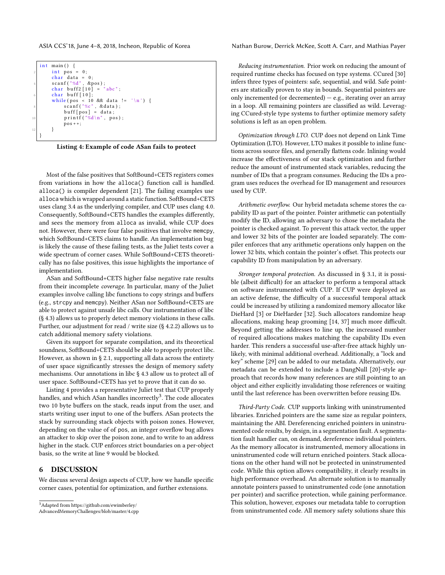```
int main () {
            int pos = 0;
 \begin{array}{cc} \text{char data = 0;}\\ \text{scanf}(\sqrt[m]{d}\sqrt[m]{s} & \text{&} \text{.} \end{array}chai succ<br>
scanf ("%d", &pos);<br>
char buff2 [10] = "abc";
            char buff[10];
 while (pos < 10 && data != '\n') {<br>scanf ("%c", &data);
                    buff[pos] = data;print f(' %d\n", pos);
                    pos + +;
12 }
     }
```
Listing 4: Example of code ASan fails to protect

Most of the false positives that SoftBound+CETS registers comes from variations in how the alloca() function call is handled. alloca() is compiler dependent [\[21\]](#page-11-21). The failing examples use alloca which is wrapped around a static function. SoftBound+CETS uses clang 3.4 as the underlying compiler, and CUP uses clang 4.0. Consequently, SoftBound+CETS handles the examples differently, and sees the memory from alloca as invalid, while CUP does not. However, there were four false positives that involve memcpy, which SoftBound+CETS claims to handle. An implementation bug is likely the cause of these failing tests, as the Juliet tests cover a wide spectrum of corner cases. While SoftBound+CETS theoretically has no false positives, this issue highlights the importance of implementation.

ASan and SoftBound+CETS higher false negative rate results from their incomplete coverage. In particular, many of the Juliet examples involve calling libc functions to copy strings and buffers (e.g., strcpy and memcpy). Neither ASan nor SoftBound+CETS are able to protect against unsafe libc calls. Our instrumentation of libc [\(§ 4.3\)](#page-7-0) allows us to properly detect memory violations in these calls. Further, our adjustment for read / write size [\(§ 4.2.2\)](#page-6-2) allows us to catch additional memory safety violations.

Given its support for separate compilation, and its theoretical soundness, SoftBound+CETS should be able to properly protect libc. However, as shown in [§ 2.1,](#page-2-1) supporting all data across the entirety of user space significantly stresses the design of memory safety mechanisms. Our annotations in libc [§ 4.3](#page-7-0) allow us to protect all of user space. SoftBound+CETS has yet to prove that it can do so.

[Listing 4](#page-9-1) provides a representative Juliet test that CUP properly handles, and which ASan handles incorrectly<sup>[3](#page-9-2)</sup>. The code allocates two 10 byte buffers on the stack, reads input from the user, and starts writing user input to one of the buffers. ASan protects the stack by surrounding stack objects with poison zones. However, depending on the value of of pos, an integer overflow bug allows an attacker to skip over the poison zone, and to write to an address higher in the stack. CUP enforces strict boundaries on a per-object basis, so the write at line 9 would be blocked.

#### <span id="page-9-0"></span>6 DISCUSSION

We discuss several design aspects of CUP, how we handle specific corner cases, potential for optimization, and further extensions.

ASIA CCS'18, June 4–8, 2018, Incheon, Republic of Korea Nathan Burow, Derrick McKee, Scott A. Carr, and Mathias Payer

Reducing instrumentation. Prior work on reducing the amount of required runtime checks has focused on type systems. CCured [\[30\]](#page-11-22) infers three types of pointers: safe, sequential, and wild. Safe pointers are statically proven to stay in bounds. Sequential pointers are only incremented (or decremented)  $-$  e.g., iterating over an array in a loop. All remaining pointers are classified as wild. Leveraging CCured-style type systems to further optimize memory safety solutions is left as an open problem.

Optimization through LTO. CUP does not depend on Link Time Optimization (LTO). However, LTO makes it possible to inline functions across source files, and generally flattens code. Inlining would increase the effectiveness of our stack optimization and further reduce the amount of instrumented stack variables, reducing the number of IDs that a program consumes. Reducing the IDs a program uses reduces the overhead for ID management and resources used by CUP.

Arithmetic overflow. Our hybrid metadata scheme stores the capability ID as part of the pointer. Pointer arithmetic can potentially modify the ID, allowing an adversary to chose the metadata the pointer is checked against. To prevent this attack vector, the upper and lower 32 bits of the pointer are loaded separately. The compiler enforces that any arithmetic operations only happen on the lower 32 bits, which contain the pointer's offset. This protects our capability ID from manipulation by an adversary.

Stronger temporal protection. As discussed in [§ 3.1,](#page-2-3) it is possible (albeit difficult) for an attacker to perform a temporal attack on software instrumented with CUP. If CUP were deployed as an active defense, the difficulty of a successful temporal attack could be increased by utilizing a randomized memory allocator like DieHard [\[3\]](#page-11-5) or DieHarder [\[32\]](#page-11-6). Such allocators randomize heap allocations, making heap grooming [\[14,](#page-11-17) [37\]](#page-11-18) much more difficult. Beyond getting the addresses to line up, the increased number of required allocations makes matching the capability IDs even harder. This renders a successful use-after-free attack highly unlikely, with minimal additional overhead. Additionally, a "lock and key" scheme [\[29\]](#page-11-11) can be added to our metadata. Alternatively, our metadata can be extended to include a DangNull [\[20\]](#page-11-9)-style approach that records how many references are still pointing to an object and either explicitly invalidating those references or waiting until the last reference has been overwritten before reusing IDs.

Third-Party Code. CUP supports linking with uninstrumented libraries. Enriched pointers are the same size as regular pointers, maintaining the ABI. Dereferencing enriched pointers in uninstrumented code results, by design, in a segmentation fault. A segmentation fault handler can, on demand, dereference individual pointers. As the memory allocator is instrumented, memory allocations in uninstrumented code will return enriched pointers. Stack allocations on the other hand will not be protected in uninstrumented code. While this option allows compatibility, it clearly results in high performance overhead. An alternate solution is to manually annotate pointers passed to uninstrumented code (one annotation per pointer) and sacrifice protection, while gaining performance. This solution, however, exposes our metadata table to corruption from uninstrumented code. All memory safety solutions share this

<span id="page-9-2"></span> $^3$  Adapted from https://github.com/ewimberley/  $\,$ 

AdvancedMemoryChallenges/blob/master/4.cpp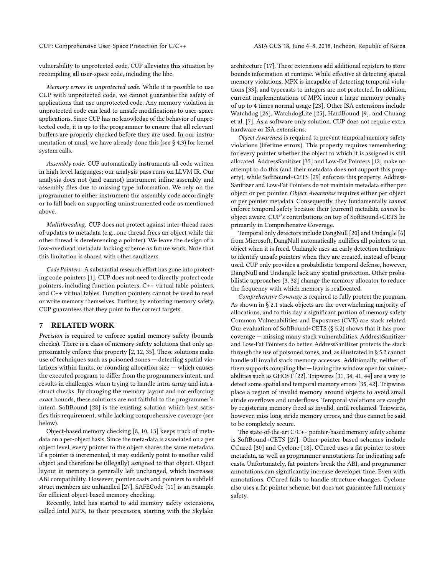vulnerability to unprotected code. CUP alleviates this situation by recompiling all user-space code, including the libc.

Memory errors in unprotected code. While it is possible to use CUP with unprotected code, we cannot guarantee the safety of applications that use unprotected code. Any memory violation in unprotected code can lead to unsafe modifications to user-space applications. Since CUP has no knowledge of the behavior of unprotected code, it is up to the programmer to ensure that all relevant buffers are properly checked before they are used. In our instrumentation of musl, we have already done this (see [§ 4.3\)](#page-7-0) for kernel system calls.

Assembly code. CUP automatically instruments all code written in high level languages; our analysis pass runs on LLVM IR. Our analysis does not (and cannot) instrument inline assembly and assembly files due to missing type information. We rely on the programmer to either instrument the assembly code accordingly or to fall back on supporting uninstrumented code as mentioned above.

Multithreading. CUP does not protect against inter-thread races of updates to metadata (e.g., one thread frees an object while the other thread is dereferencing a pointer). We leave the design of a low-overhead metadata locking scheme as future work. Note that this limitation is shared with other sanitizers.

Code Pointers. A substantial research effort has gone into protecting code pointers [\[1\]](#page-11-23). CUP does not need to directly protect code pointers, including function pointers, C++ virtual table pointers, and C++ virtual tables. Function pointers cannot be used to read or write memory themselves. Further, by enforcing memory safety, CUP guarantees that they point to the correct targets.

## <span id="page-10-0"></span>7 RELATED WORK

Precision is required to enforce spatial memory safety (bounds checks). There is a class of memory safety solutions that only approximately enforce this property [\[2,](#page-11-16) [12,](#page-11-8) [35\]](#page-11-7). These solutions make use of techniques such as poisoned zones — detecting spatial violations within limits, or rounding allocation size — which causes the executed program to differ from the programmers intent, and results in challenges when trying to handle intra-array and intrastruct checks. By changing the memory layout and not enforcing exact bounds, these solutions are not faithful to the programmer's intent. SoftBound [\[28\]](#page-11-10) is the existing solution which best satisfies this requirement, while lacking comprehensive coverage (see below).

Object-based memory checking [\[8,](#page-11-24) [10,](#page-11-25) [13\]](#page-11-26) keeps track of metadata on a per-object basis. Since the meta-data is associated on a per object level, every pointer to the object shares the same metadata. If a pointer is incremented, it may suddenly point to another valid object and therefore be (illegally) assigned to that object. Object layout in memory is generally left unchanged, which increases ABI compatibility. However, pointer casts and pointers to subfield struct members are unhandled [\[27\]](#page-11-27). SAFECode [\[11\]](#page-11-28) is an example for efficient object-based memory checking.

Recently, Intel has started to add memory safety extensions, called Intel MPX, to their processors, starting with the Skylake

architecture [\[17\]](#page-11-29). These extensions add additional registers to store bounds information at runtime. While effective at detecting spatial memory violations, MPX is incapable of detecting temporal violations [\[33\]](#page-11-30), and typecasts to integers are not protected. In addition, current implementations of MPX incur a large memory penalty of up to 4 times normal usage [\[23\]](#page-11-31). Other ISA extensions include Watchdog [\[26\]](#page-11-32), WatchdogLite [\[25\]](#page-11-33), HardBound [\[9\]](#page-11-34), and Chuang et al. [\[7\]](#page-11-35). As a software only solution, CUP does not require extra hardware or ISA extensions.

Object Awareness is required to prevent temporal memory safety violations (lifetime errors). This property requires remembering for every pointer whether the object to which it is assigned is still allocated. AddressSanitizer [\[35\]](#page-11-7) and Low-Fat Pointers [\[12\]](#page-11-8) make no attempt to do this (and their metadata does not support this property), while SoftBound+CETS [\[29\]](#page-11-11) enforces this property. Address-Sanitizer and Low-Fat Pointers do not maintain metadata either per object or per pointer. Object Awareness requires either per object or per pointer metadata. Consequently, they fundamentally cannot enforce temporal safety because their (current) metadata cannot be object aware. CUP's contributions on top of SoftBound+CETS lie primarily in Comprehensive Coverage.

Temporal only detectors include DangNull [\[20\]](#page-11-9) and Undangle [\[6\]](#page-11-36) from Microsoft. DangNull automatically nullifies all pointers to an object when it is freed. Undangle uses an early detection technique to identify unsafe pointers when they are created, instead of being used. CUP only provides a probabilistic temporal defense, however, DangNull and Undangle lack any spatial protection. Other probabilistic approaches [\[3,](#page-11-5) [32\]](#page-11-6) change the memory allocator to reduce the frequency with which memory is reallocated.

Comprehensive Coverage is required to fully protect the program. As shown in [§ 2.1](#page-2-1) stack objects are the overwhelming majority of allocations, and to this day a significant portion of memory safety Common Vulnerabilities and Exposures (CVE) are stack related. Our evaluation of SoftBound+CETS [\(§ 5.2\)](#page-8-0) shows that it has poor coverage — missing many stack vulnerabilities. AddressSanitizer and Low-Fat Pointers do better. AddressSanitizer protects the stack through the use of poisoned zones, and, as illustrated in [§ 5.2](#page-8-0) cannot handle all invalid stack memory accesses. Additionally, neither of them supports compiling libc — leaving the window open for vulnerabilities such as GHOST [\[22\]](#page-11-1). Tripwires [\[31,](#page-11-37) [34,](#page-11-38) [41,](#page-11-39) [44\]](#page-11-40) are a way to detect some spatial and temporal memory errors [\[35,](#page-11-7) [42\]](#page-11-41). Tripwires place a region of invalid memory around objects to avoid small stride overflows and underflows. Temporal violations are caught by registering memory freed as invalid, until reclaimed. Tripwires, however, miss long stride memory errors, and thus cannot be said to be completely secure.

The state-of-the-art C/C++ pointer-based memory safety scheme is SoftBound+CETS [\[27\]](#page-11-27). Other pointer-based schemes include CCured [\[30\]](#page-11-22) and Cyclone [\[18\]](#page-11-42). CCured uses a fat pointer to store metadata, as well as programmer annotations for indicating safe casts. Unfortunately, fat pointers break the ABI, and programmer annotations can significantly increase developer time. Even with annotations, CCured fails to handle structure changes. Cyclone also uses a fat pointer scheme, but does not guarantee full memory safety.